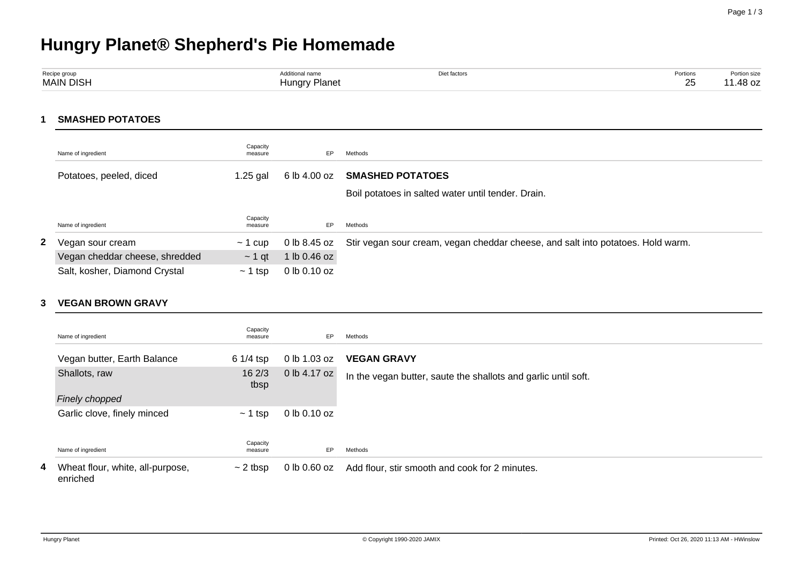# **Hungry Planet® Shepherd's Pie Homemade**

| Recipe group     | ` <sup>→</sup> ditional name | Diet factors<br>. | Portions<br>. | Portion size      |
|------------------|------------------------------|-------------------|---------------|-------------------|
| <b>MAIN DISH</b> | Hungry Planet                |                   | $\sim$<br>∠~  | $10 - -$<br>40 UZ |

**1 SMASHED POTATOES**

|    | Name of ingredient             | Capacity<br>measure | EP.              | Methods                                                                         |
|----|--------------------------------|---------------------|------------------|---------------------------------------------------------------------------------|
|    | Potatoes, peeled, diced        | 1.25 gal            | 6 lb 4.00 oz     | <b>SMASHED POTATOES</b>                                                         |
|    |                                |                     |                  | Boil potatoes in salted water until tender. Drain.                              |
|    | Name of ingredient             | Capacity<br>measure | EP.              | Methods                                                                         |
| 2. | Vegan sour cream               | $\sim$ 1 cup        | 0 lb 8.45 oz     | Stir vegan sour cream, vegan cheddar cheese, and salt into potatoes. Hold warm. |
|    | Vegan cheddar cheese, shredded | $\sim$ 1 at         | 1 lb 0.46 oz     |                                                                                 |
|    | Salt, kosher, Diamond Crystal  | $\sim$ 1 tsp        | $0$ lb $0.10$ oz |                                                                                 |

#### **3 VEGAN BROWN GRAVY**

|   | Name of ingredient                           | Capacity<br>measure | EP           | Methods                                                        |
|---|----------------------------------------------|---------------------|--------------|----------------------------------------------------------------|
|   | Vegan butter, Earth Balance                  | $61/4$ tsp          | 0 lb 1.03 oz | <b>VEGAN GRAVY</b>                                             |
|   | Shallots, raw                                | 162/3<br>tbsp       | 0 lb 4.17 oz | In the vegan butter, saute the shallots and garlic until soft. |
|   | Finely chopped                               |                     |              |                                                                |
|   | Garlic clove, finely minced                  | $\sim$ 1 tsp        | 0 lb 0.10 oz |                                                                |
|   |                                              |                     |              |                                                                |
|   | Name of ingredient                           | Capacity<br>measure | EP           | Methods                                                        |
| 4 | Wheat flour, white, all-purpose,<br>enriched | $\sim$ 2 tbsp       | 0 lb 0.60 oz | Add flour, stir smooth and cook for 2 minutes.                 |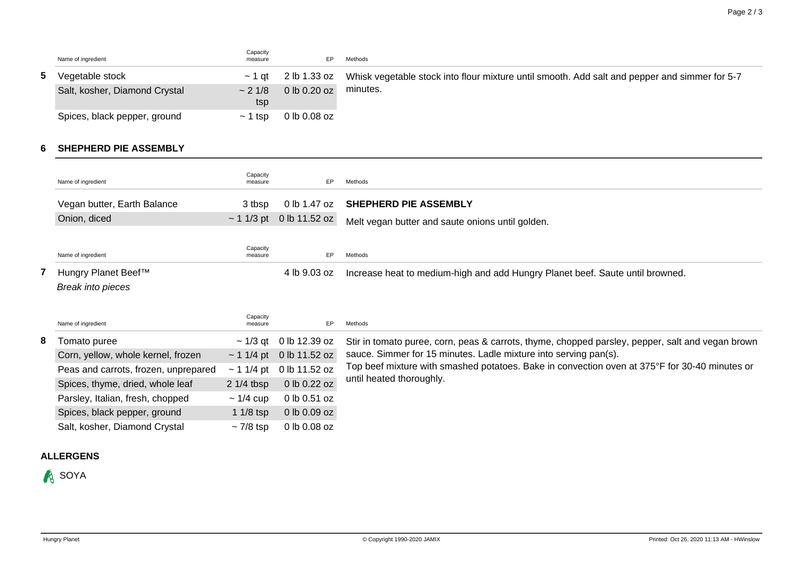| Name of ingredient            | Capacity<br>measure | EP.          | Methods                                                                                                    |
|-------------------------------|---------------------|--------------|------------------------------------------------------------------------------------------------------------|
| Vegetable stock               | $\sim$ 1 at         |              | 2 lb 1.33 oz Whisk vegetable stock into flour mixture until smooth. Add salt and pepper and simmer for 5-7 |
| Salt, kosher, Diamond Crystal | $\sim$ 2 1/8<br>tsp | 0 lb 0.20 oz | minutes.                                                                                                   |
| Spices, black pepper, ground  | $\sim$ 1 tsp        | 0 lb 0.08 oz |                                                                                                            |

#### **6 SHEPHERD PIE ASSEMBLY**

|   | Name of ingredient                   | Capacity<br>measure | EP                            | Methods                                                                                          |  |  |  |
|---|--------------------------------------|---------------------|-------------------------------|--------------------------------------------------------------------------------------------------|--|--|--|
|   | Vegan butter, Earth Balance          | 3 tbsp              | 0 lb 1.47 oz                  | <b>SHEPHERD PIE ASSEMBLY</b>                                                                     |  |  |  |
|   | Onion, diced                         |                     | $\sim$ 1 1/3 pt 0 lb 11.52 oz | Melt vegan butter and saute onions until golden.                                                 |  |  |  |
|   |                                      |                     |                               |                                                                                                  |  |  |  |
|   | Name of ingredient                   | Capacity<br>measure | EP                            | Methods                                                                                          |  |  |  |
|   | Hungry Planet Beef™                  |                     | 4 lb 9.03 oz                  | Increase heat to medium-high and add Hungry Planet beef. Saute until browned.                    |  |  |  |
|   | <b>Break into pieces</b>             |                     |                               |                                                                                                  |  |  |  |
|   |                                      |                     |                               |                                                                                                  |  |  |  |
|   | Name of ingredient                   | Capacity<br>measure | EP                            | Methods                                                                                          |  |  |  |
| 8 | Tomato puree                         | $\sim$ 1/3 qt       | 0 lb 12.39 oz                 | Stir in tomato puree, corn, peas & carrots, thyme, chopped parsley, pepper, salt and vegan brown |  |  |  |
|   | Corn, yellow, whole kernel, frozen   | $\sim$ 1 1/4 pt     | 0 lb 11.52 oz                 | sauce. Simmer for 15 minutes. Ladle mixture into serving pan(s).                                 |  |  |  |
|   | Peas and carrots, frozen, unprepared | $\sim$ 1 1/4 pt     | 0 lb 11.52 oz                 | Top beef mixture with smashed potatoes. Bake in convection oven at 375°F for 30-40 minutes or    |  |  |  |
|   | Spices, thyme, dried, whole leaf     | $21/4$ tbsp         | 0 lb 0.22 oz                  | until heated thoroughly.                                                                         |  |  |  |
|   | Parsley, Italian, fresh, chopped     | $\sim$ 1/4 cup      | 0 lb 0.51 oz                  |                                                                                                  |  |  |  |
|   | Spices, black pepper, ground         | $11/8$ tsp          | 0 lb 0.09 oz                  |                                                                                                  |  |  |  |
|   | Salt, kosher, Diamond Crystal        | $\sim$ 7/8 tsp      | 0 lb 0.08 oz                  |                                                                                                  |  |  |  |

## **ALLERGENS**

**A** SOYA